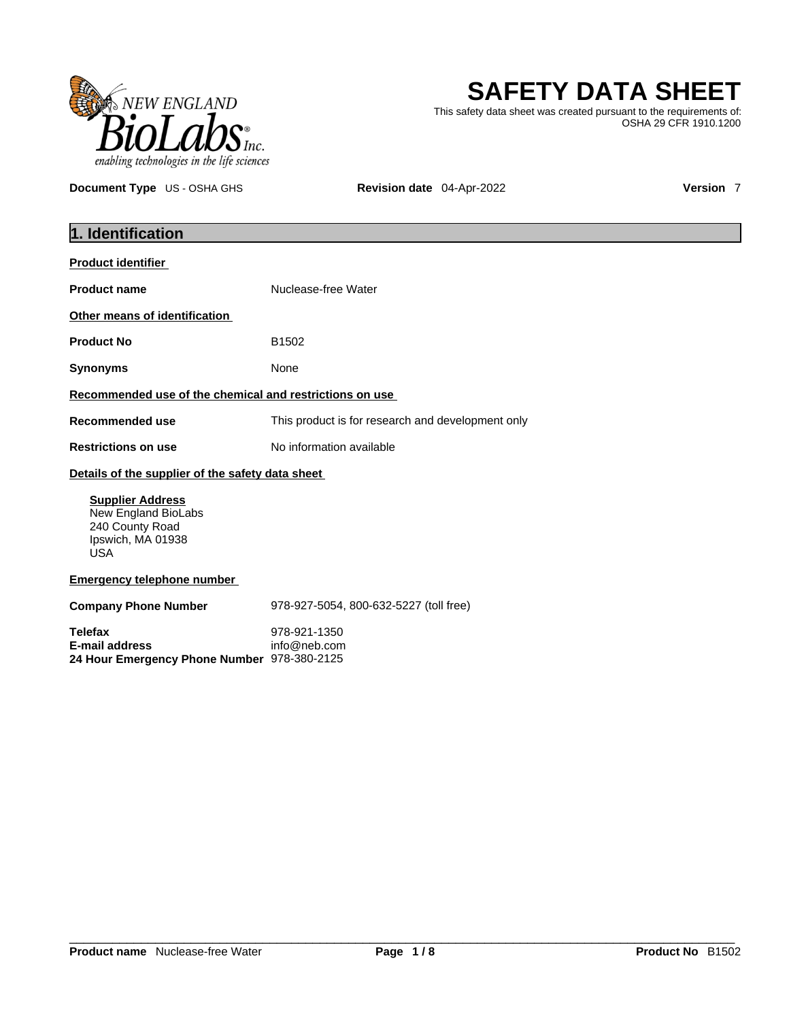

# **SAFETY DATA SHEET**

This safety data sheet was created pursuant to the requirements of: OSHA 29 CFR 1910.1200

**Document Type** US - OSHA GHS **Revision date** 04-Apr-2022 **Version 7** 

| 1. Identification                                                                                    |                                                   |  |
|------------------------------------------------------------------------------------------------------|---------------------------------------------------|--|
| <b>Product identifier</b>                                                                            |                                                   |  |
| <b>Product name</b>                                                                                  | Nuclease-free Water                               |  |
| Other means of identification                                                                        |                                                   |  |
| <b>Product No</b>                                                                                    | B1502                                             |  |
| <b>Synonyms</b>                                                                                      | None                                              |  |
| Recommended use of the chemical and restrictions on use                                              |                                                   |  |
| <b>Recommended use</b>                                                                               | This product is for research and development only |  |
| <b>Restrictions on use</b>                                                                           | No information available                          |  |
| Details of the supplier of the safety data sheet                                                     |                                                   |  |
| <b>Supplier Address</b><br>New England BioLabs<br>240 County Road<br>Ipswich, MA 01938<br><b>USA</b> |                                                   |  |
| <b>Emergency telephone number</b>                                                                    |                                                   |  |
| <b>Company Phone Number</b>                                                                          | 978-927-5054, 800-632-5227 (toll free)            |  |
| <b>Telefax</b><br><b>E-mail address</b><br>24 Hour Emergency Phone Number 978-380-2125               | 978-921-1350<br>info@neb.com                      |  |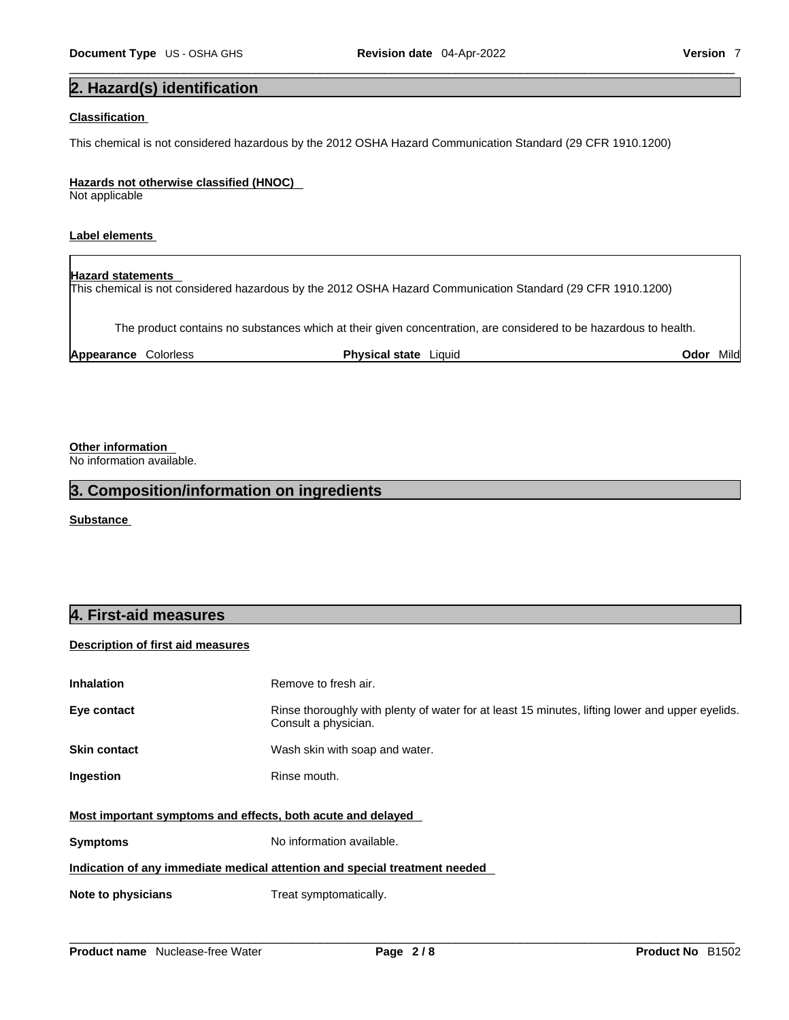# **2. Hazard(s) identification**

### **Classification**

This chemical is not considered hazardous by the 2012 OSHA Hazard Communication Standard (29 CFR 1910.1200)

### **Hazards not otherwise classified (HNOC)**

Not applicable

## **Label elements**

#### **Hazard statements**

This chemical is not considered hazardous by the 2012 OSHA Hazard Communication Standard (29 CFR 1910.1200)

The product contains no substances which at their given concentration, are considered to be hazardous to health.

| Appearance<br>Colorless | <b>Physical state</b><br>-iauid | $\cdots$<br>Mıld<br>Odor |
|-------------------------|---------------------------------|--------------------------|
|-------------------------|---------------------------------|--------------------------|

**Other information** 

No information available.

# **3. Composition/information on ingredients**

**Substance** 

# **4. First-aid measures**

## **Description of first aid measures**

| <b>Inhalation</b>                                                          | Remove to fresh air.                                                                                                    |  |
|----------------------------------------------------------------------------|-------------------------------------------------------------------------------------------------------------------------|--|
| Eye contact                                                                | Rinse thoroughly with plenty of water for at least 15 minutes, lifting lower and upper eyelids.<br>Consult a physician. |  |
| <b>Skin contact</b>                                                        | Wash skin with soap and water.                                                                                          |  |
| Ingestion                                                                  | Rinse mouth.                                                                                                            |  |
| Most important symptoms and effects, both acute and delayed                |                                                                                                                         |  |
| <b>Symptoms</b>                                                            | No information available.                                                                                               |  |
| Indication of any immediate medical attention and special treatment needed |                                                                                                                         |  |
| Note to physicians                                                         | Treat symptomatically.                                                                                                  |  |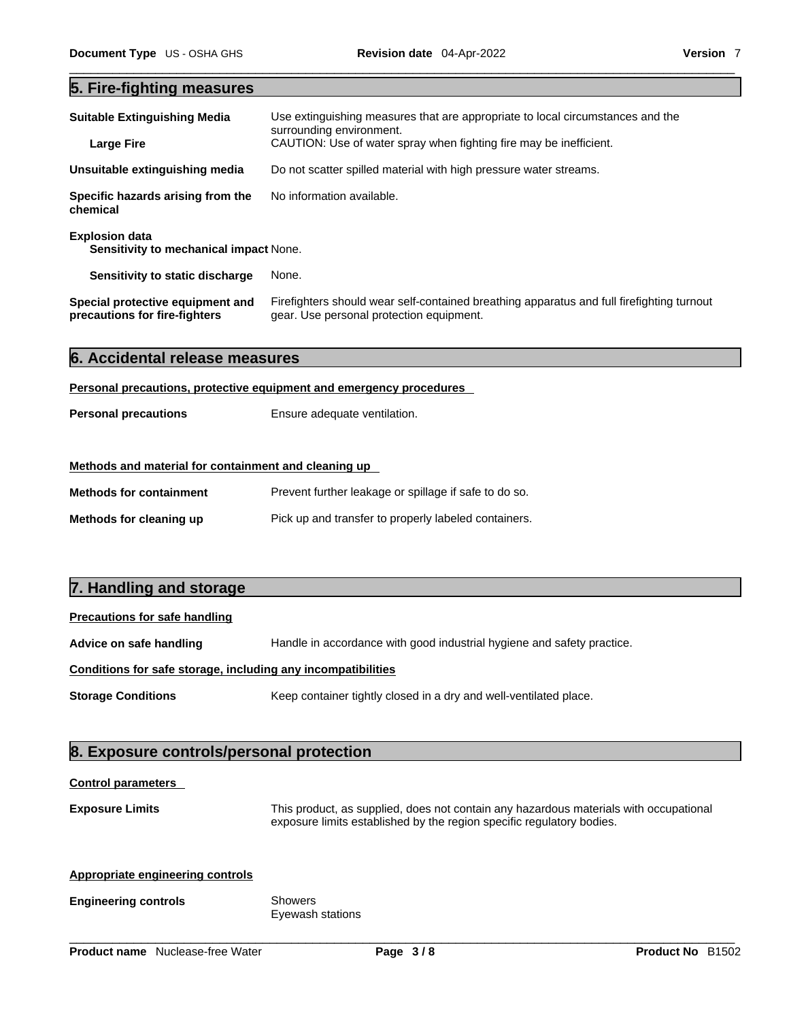# **5. Fire-fighting measures**

| <b>Suitable Extinguishing Media</b>                             | Use extinguishing measures that are appropriate to local circumstances and the<br>surrounding environment. |
|-----------------------------------------------------------------|------------------------------------------------------------------------------------------------------------|
| <b>Large Fire</b>                                               | CAUTION: Use of water spray when fighting fire may be inefficient.                                         |
| Unsuitable extinguishing media                                  | Do not scatter spilled material with high pressure water streams.                                          |
| Specific hazards arising from the<br>chemical                   | No information available.                                                                                  |
| <b>Explosion data</b><br>Sensitivity to mechanical impact None. |                                                                                                            |
|                                                                 |                                                                                                            |
| Sensitivity to static discharge                                 | None.                                                                                                      |

| 6. Accidental release measures |  |
|--------------------------------|--|
|--------------------------------|--|

#### **Personal precautions, protective equipment and emergency procedures**

| <b>Personal precautions</b> | Ensure adequate ventilation. |
|-----------------------------|------------------------------|
|                             |                              |

## **Methods and material for containment and cleaning up**

| <b>Methods for containment</b> | Prevent further leakage or spillage if safe to do so. |
|--------------------------------|-------------------------------------------------------|
| Methods for cleaning up        | Pick up and transfer to properly labeled containers.  |

# **7. Handling and storage**

## **Precautions for safe handling**

| Advice on safe handling                                      | Handle in accordance with good industrial hygiene and safety practice. |
|--------------------------------------------------------------|------------------------------------------------------------------------|
| Conditions for safe storage, including any incompatibilities |                                                                        |

**Storage Conditions** Keep container tightly closed in a dry and well-ventilated place.

# **8. Exposure controls/personal protection**

## **Control parameters**

**Exposure Limits** This product, as supplied, does not contain any hazardous materials with occupational exposure limits established by the region specific regulatory bodies.

# **Appropriate engineering controls**

### **Engineering controls** Showers

Eyewash stations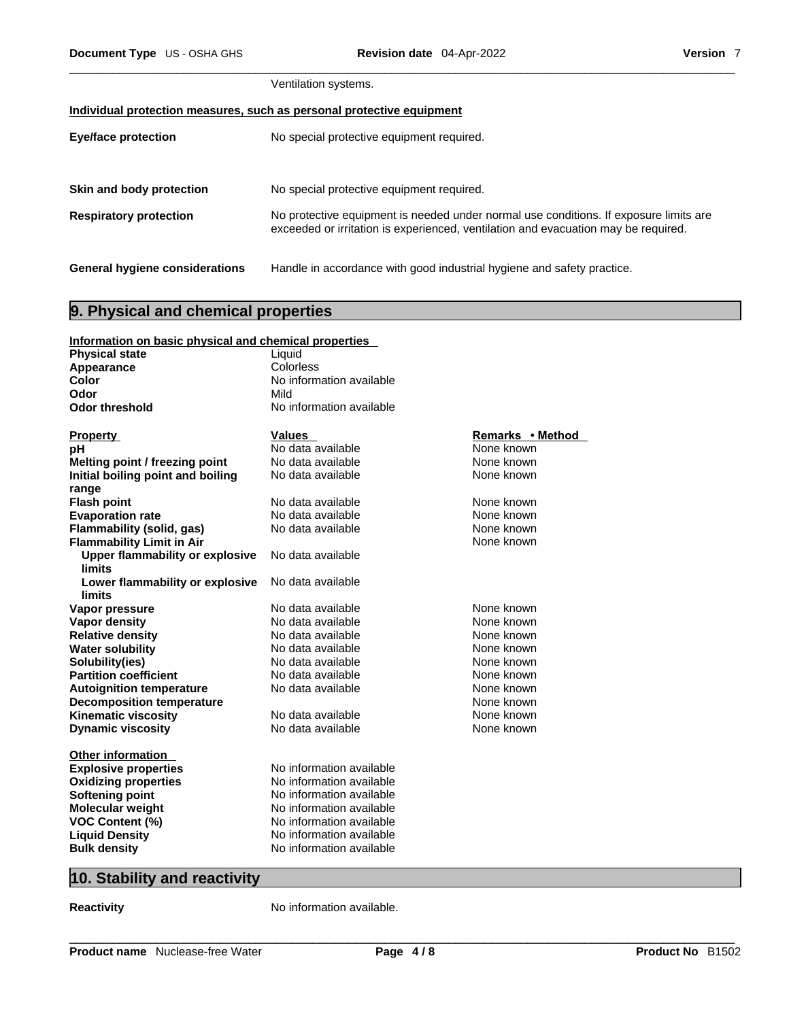|                                                                       | Ventilation systems.                                                                                                                                                        |  |
|-----------------------------------------------------------------------|-----------------------------------------------------------------------------------------------------------------------------------------------------------------------------|--|
| Individual protection measures, such as personal protective equipment |                                                                                                                                                                             |  |
| <b>Eye/face protection</b>                                            | No special protective equipment required.                                                                                                                                   |  |
|                                                                       |                                                                                                                                                                             |  |
| Skin and body protection                                              | No special protective equipment required.                                                                                                                                   |  |
| <b>Respiratory protection</b>                                         | No protective equipment is needed under normal use conditions. If exposure limits are<br>exceeded or irritation is experienced, ventilation and evacuation may be required. |  |
| General hygiene considerations                                        | Handle in accordance with good industrial hygiene and safety practice.                                                                                                      |  |

# **9. Physical and chemical properties**

| Information on basic physical and chemical properties |                          |                  |
|-------------------------------------------------------|--------------------------|------------------|
| <b>Physical state</b>                                 | Liquid                   |                  |
| Appearance                                            | Colorless                |                  |
| Color                                                 | No information available |                  |
| Odor                                                  | Mild                     |                  |
| <b>Odor threshold</b>                                 | No information available |                  |
|                                                       |                          |                  |
| <b>Property</b>                                       | <b>Values</b>            | Remarks • Method |
| рH                                                    | No data available        | None known       |
| Melting point / freezing point                        | No data available        | None known       |
| Initial boiling point and boiling                     | No data available        | None known       |
| range                                                 |                          |                  |
| <b>Flash point</b>                                    | No data available        | None known       |
| <b>Evaporation rate</b>                               | No data available        | None known       |
| Flammability (solid, gas)                             | No data available        | None known       |
| <b>Flammability Limit in Air</b>                      |                          | None known       |
| <b>Upper flammability or explosive</b>                | No data available        |                  |
| <b>limits</b>                                         |                          |                  |
| Lower flammability or explosive                       | No data available        |                  |
| limits                                                |                          |                  |
| Vapor pressure                                        | No data available        | None known       |
| Vapor density                                         | No data available        | None known       |
| <b>Relative density</b>                               | No data available        | None known       |
| <b>Water solubility</b>                               | No data available        | None known       |
| Solubility(ies)                                       | No data available        | None known       |
| <b>Partition coefficient</b>                          | No data available        | None known       |
| <b>Autoignition temperature</b>                       | No data available        | None known       |
| <b>Decomposition temperature</b>                      |                          | None known       |
| <b>Kinematic viscosity</b>                            | No data available        | None known       |
| <b>Dynamic viscosity</b>                              | No data available        | None known       |
|                                                       |                          |                  |
| <b>Other information</b>                              |                          |                  |
| <b>Explosive properties</b>                           | No information available |                  |
| <b>Oxidizing properties</b>                           | No information available |                  |
| <b>Softening point</b>                                | No information available |                  |
| <b>Molecular weight</b>                               | No information available |                  |
| <b>VOC Content (%)</b>                                | No information available |                  |
| <b>Liquid Density</b>                                 | No information available |                  |
| <b>Bulk density</b>                                   | No information available |                  |

# **10. Stability and reactivity**

**Reactivity No information available.**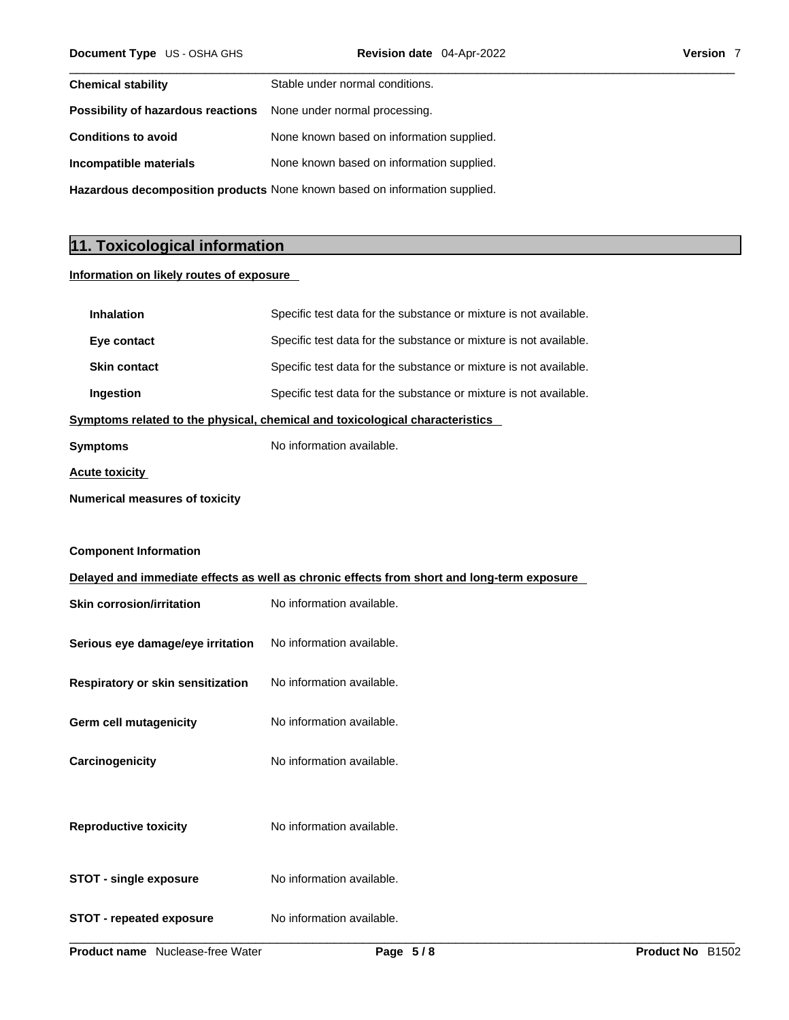| <b>Chemical stability</b>                                                         | Stable under normal conditions.           |  |
|-----------------------------------------------------------------------------------|-------------------------------------------|--|
| <b>Possibility of hazardous reactions</b> None under normal processing.           |                                           |  |
| <b>Conditions to avoid</b>                                                        | None known based on information supplied. |  |
| Incompatible materials                                                            | None known based on information supplied. |  |
| <b>Hazardous decomposition products</b> None known based on information supplied. |                                           |  |

# **11. Toxicological information**

## **Information on likely routes of exposure**

| <b>Inhalation</b>                                                            | Specific test data for the substance or mixture is not available.                          |
|------------------------------------------------------------------------------|--------------------------------------------------------------------------------------------|
| Eye contact                                                                  | Specific test data for the substance or mixture is not available.                          |
| <b>Skin contact</b>                                                          | Specific test data for the substance or mixture is not available.                          |
| Ingestion                                                                    | Specific test data for the substance or mixture is not available.                          |
| Symptoms related to the physical, chemical and toxicological characteristics |                                                                                            |
| <b>Symptoms</b>                                                              | No information available.                                                                  |
| <b>Acute toxicity</b>                                                        |                                                                                            |
| <b>Numerical measures of toxicity</b>                                        |                                                                                            |
|                                                                              |                                                                                            |
| <b>Component Information</b>                                                 |                                                                                            |
|                                                                              | Delayed and immediate effects as well as chronic effects from short and long-term exposure |
| <b>Skin corrosion/irritation</b>                                             | No information available.                                                                  |
| Serious eye damage/eye irritation                                            | No information available.                                                                  |
| Respiratory or skin sensitization                                            | No information available.                                                                  |
| <b>Germ cell mutagenicity</b>                                                | No information available.                                                                  |
| Carcinogenicity                                                              | No information available.                                                                  |
| <b>Reproductive toxicity</b>                                                 | No information available.                                                                  |
| <b>STOT - single exposure</b>                                                | No information available.                                                                  |
| <b>STOT - repeated exposure</b>                                              | No information available.                                                                  |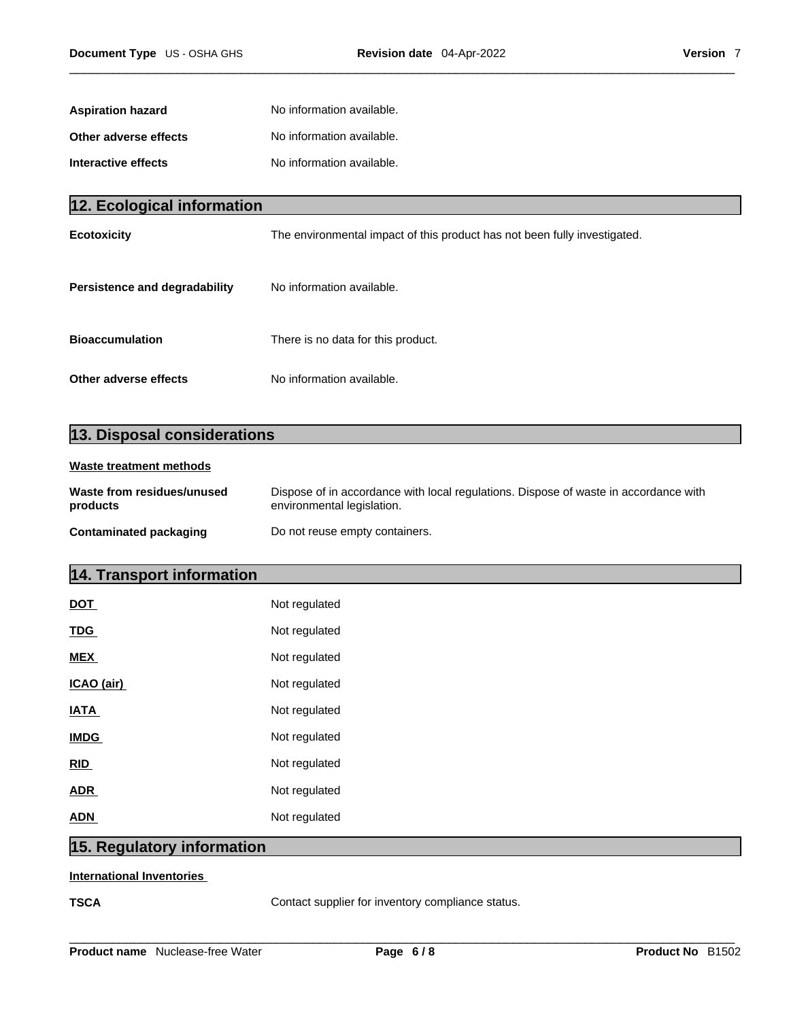| <b>Aspiration hazard</b> | No information available. |
|--------------------------|---------------------------|
| Other adverse effects    | No information available. |
| Interactive effects      | No information available. |

| 12. Ecological information    |                                                                           |
|-------------------------------|---------------------------------------------------------------------------|
| <b>Ecotoxicity</b>            | The environmental impact of this product has not been fully investigated. |
| Persistence and degradability | No information available.                                                 |
| <b>Bioaccumulation</b>        | There is no data for this product.                                        |
| Other adverse effects         | No information available.                                                 |

# **13. Disposal considerations**

# **Waste treatment methods**

| Waste from residues/unused | Dispose of in accordance with local regulations. Dispose of waste in accordance with |
|----------------------------|--------------------------------------------------------------------------------------|
| products                   | environmental legislation.                                                           |
| Contaminated packaging     | Do not reuse empty containers.                                                       |

# **14. Transport information**

| DOT         | Not regulated |
|-------------|---------------|
| <b>TDG</b>  | Not regulated |
| <b>MEX</b>  | Not regulated |
| ICAO (air)  | Not regulated |
| <b>IATA</b> | Not regulated |
| <b>IMDG</b> | Not regulated |
| <b>RID</b>  | Not regulated |
| <b>ADR</b>  | Not regulated |
| ADN         | Not regulated |

# **15. Regulatory information**

## **International Inventories**

**TSCA Contact supplier for inventory compliance status.**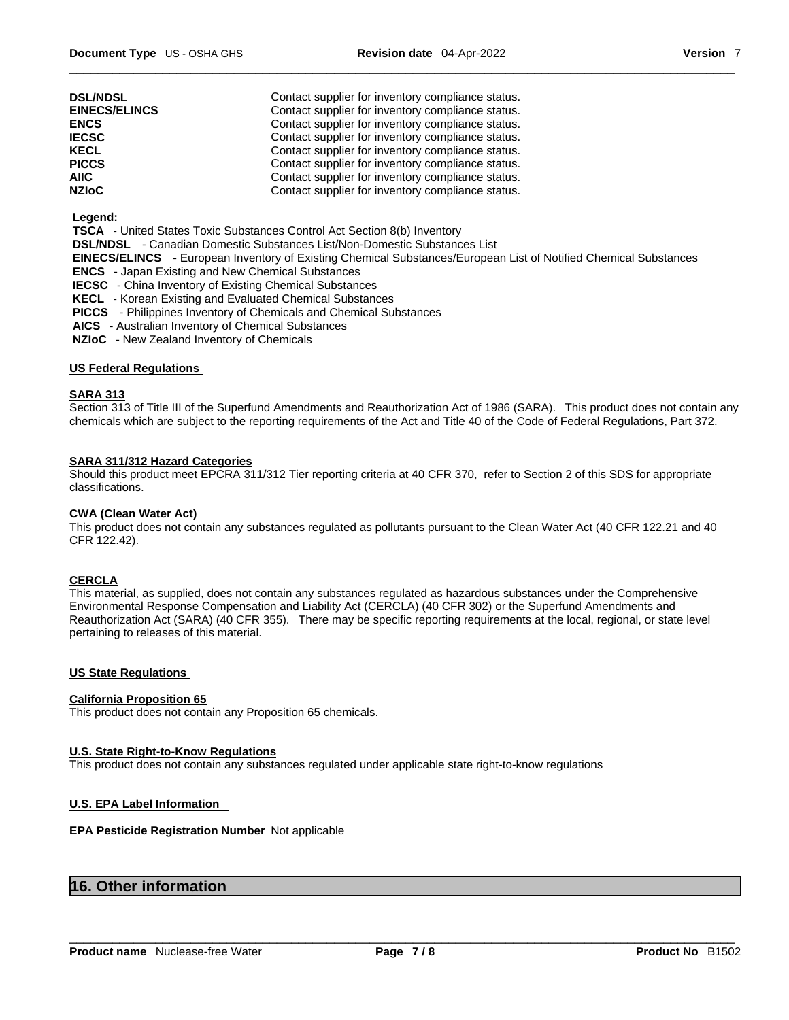| <b>DSL/NDSL</b><br><b>EINECS/ELINCS</b> | Contact supplier for inventory compliance status.<br>Contact supplier for inventory compliance status. |
|-----------------------------------------|--------------------------------------------------------------------------------------------------------|
| <b>ENCS</b>                             | Contact supplier for inventory compliance status.                                                      |
| <b>IECSC</b>                            | Contact supplier for inventory compliance status.                                                      |
| <b>KECL</b>                             | Contact supplier for inventory compliance status.                                                      |
| <b>PICCS</b>                            | Contact supplier for inventory compliance status.                                                      |
| AIIC                                    | Contact supplier for inventory compliance status.                                                      |
| <b>NZIoC</b>                            | Contact supplier for inventory compliance status.                                                      |

#### **Legend:**

 **TSCA** - United States Toxic Substances Control Act Section 8(b) Inventory

 **DSL/NDSL** - Canadian Domestic Substances List/Non-Domestic Substances List

 **EINECS/ELINCS** - European Inventory of Existing Chemical Substances/European List of Notified Chemical Substances

- **ENCS**  Japan Existing and New Chemical Substances
- **IECSC**  China Inventory of Existing Chemical Substances
- **KECL**  Korean Existing and Evaluated Chemical Substances
- **PICCS**  Philippines Inventory of Chemicals and Chemical Substances
- **AICS**  Australian Inventory of Chemical Substances
- **NZIoC**  New Zealand Inventory of Chemicals

### **US Federal Regulations**

#### **SARA 313**

Section 313 of Title III of the Superfund Amendments and Reauthorization Act of 1986 (SARA). This product does not contain any chemicals which are subject to the reporting requirements of the Act and Title 40 of the Code of Federal Regulations, Part 372.

### **SARA 311/312 Hazard Categories**

Should this product meet EPCRA 311/312 Tier reporting criteria at 40 CFR 370, refer to Section 2 of this SDS for appropriate classifications.

#### **CWA (Clean WaterAct)**

This product does not contain any substances regulated as pollutants pursuant to the Clean Water Act (40 CFR 122.21 and 40 CFR 122.42).

#### **CERCLA**

This material, as supplied, does not contain any substances regulated as hazardous substances under the Comprehensive Environmental Response Compensation and Liability Act (CERCLA) (40 CFR 302) or the Superfund Amendments and Reauthorization Act (SARA) (40 CFR 355). There may be specific reporting requirements at the local, regional, or state level pertaining to releases of this material.

### **US State Regulations**

#### **California Proposition 65**

This product does not contain any Proposition 65 chemicals.

#### **U.S. State Right-to-Know Regulations**

This product does not contain any substances regulated under applicable state right-to-know regulations

### **U.S. EPA Label Information**

#### **EPA Pesticide Registration Number** Not applicable

# **16. Other information**

**Product name** Nuclease-free Water **Page 7 / 8 Product No** B1502